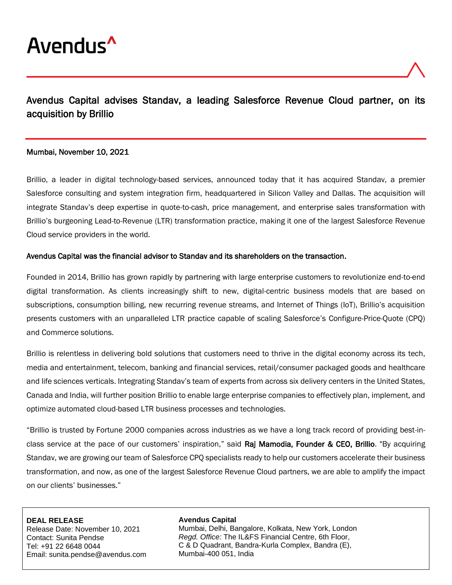

# Avendus Capital advises Standav, a leading Salesforce Revenue Cloud partner, on its acquisition by Brillio

## Mumbai, November 10, 2021

Brillio, a leader in digital technology-based services, announced today that it has acquired Standav, a premier Salesforce consulting and system integration firm, headquartered in Silicon Valley and Dallas. The acquisition will integrate Standav's deep expertise in quote-to-cash, price management, and enterprise sales transformation with Brillio's burgeoning Lead-to-Revenue (LTR) transformation practice, making it one of the largest Salesforce Revenue Cloud service providers in the world.

### Avendus Capital was the financial advisor to Standav and its shareholders on the transaction.

Founded in 2014, Brillio has grown rapidly by partnering with large enterprise customers to revolutionize end-to-end digital transformation. As clients increasingly shift to new, digital-centric business models that are based on subscriptions, consumption billing, new recurring revenue streams, and Internet of Things (IoT), Brillio's acquisition presents customers with an unparalleled LTR practice capable of scaling Salesforce's Configure-Price-Quote (CPQ) and Commerce solutions.

Brillio is relentless in delivering bold solutions that customers need to thrive in the digital economy across its tech, media and entertainment, telecom, banking and financial services, retail/consumer packaged goods and healthcare and life sciences verticals. Integrating Standav's team of experts from across six delivery centers in the United States, Canada and India, will further position Brillio to enable large enterprise companies to effectively plan, implement, and optimize automated cloud-based LTR business processes and technologies.

"Brillio is trusted by Fortune 2000 companies across industries as we have a long track record of providing best-inclass service at the pace of our customers' inspiration," said Raj Mamodia, Founder & CEO, Brillio. "By acquiring Standav, we are growing our team of Salesforce CPQ specialists ready to help our customers accelerate their business transformation, and now, as one of the largest Salesforce Revenue Cloud partners, we are able to amplify the impact on our clients' businesses."

#### **DEAL RELEASE**

Release Date: November 10, 2021 Contact: Sunita Pendse Tel: +91 22 6648 0044 Email: sunita.pendse@avendus.com

#### **Avendus Capital**

Mumbai, Delhi, Bangalore, Kolkata, New York, London *Regd. Office:* The IL&FS Financial Centre, 6th Floor, C & D Quadrant, Bandra-Kurla Complex, Bandra (E), Mumbai-400 051, India